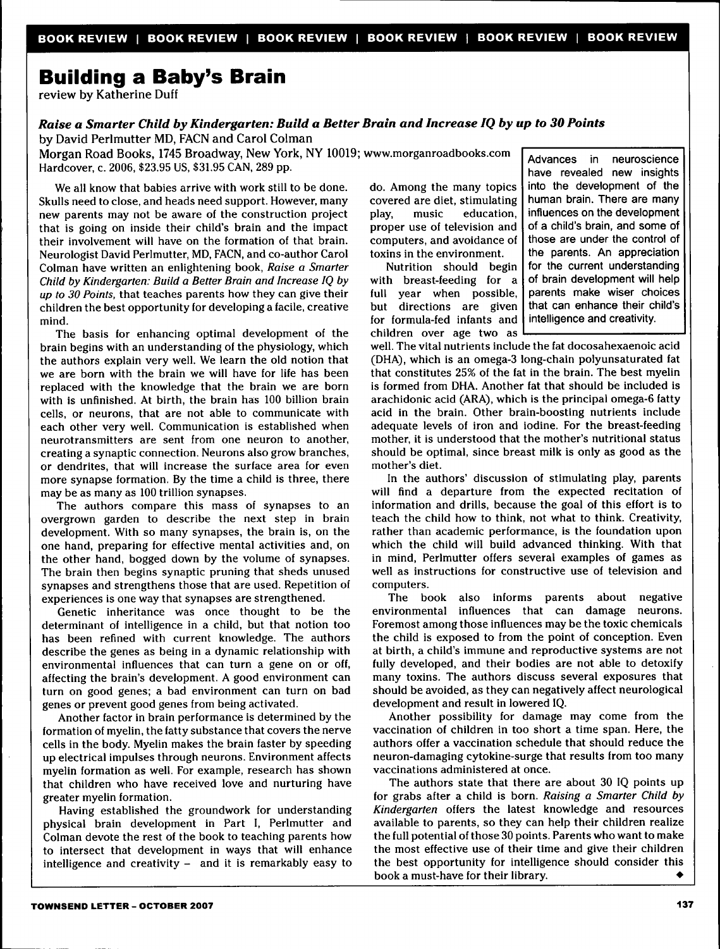## **Building a Baby's Brain**

review by Katherine Duff

## *Raise a Smarter Child by Kindergarten: Build a Better Brain and Increase IQ by up to 30 Points*

by David Perlmutter MD, FACN and Carol Colman

Morgan Road Books, 1745 Broadway, New York, NY 10019; www.morganroadbooks.com Hardcover, c. 2006, \$23.95 US, \$31.95 CAN, 289 pp.

We all know that babies arrive with work still to be done. Skulls need to close, and heads need support. However, many new parents may not be aware of the construction project that is going on inside their child's brain and the impact their involvement will have on the formation of that brain. Neurologist David Perlmutter, MD, FACN, and co-author Carol Colman have written an enlightening book. *Raise a Smarter Child by Kindergarten: Build a Better Brain and Increase IQ by up to 30 Points,* that teaches parents how they can give their children the best opportunity for developing a facile, creative mind.

The basis for enhancing optimal development of the brain begins with an understanding of the physiology, which the authors explain very well. We learn the old notion that we are born with the brain we will have for life has been replaced with the knowledge that the brain we are born with is unfinished. At birth, the brain has 100 billion brain cells, or neurons, that are not able to communicate with each other very well. Communication is established when neurotransmitters are sent from one neuron to another, creating a synaptic connection. Neurons also grow branches, or dendrites, that will increase the surface area for even more synapse formation. By the time a child is three, there may be as many as 100 trillion synapses.

The authors compare this mass of synapses to an overgrown garden to describe the next step in brain development. With so many synapses, the brain is, on the one hand, preparing for effective mental activities and, on the other hand, bogged down by the volume of synapses. The brain then begins synaptic pruning that sheds unused synapses and strengthens those that are used. Repetition of experiences is one way that synapses are strengthened.

Genetic inheritance was once thought to be the determinant of intelligence in a child, but that notion too has been refined with current knowledge. The authors describe the genes as being in a dynamic relationship with environmental influences that can turn a gene on or off, affecting the brain's development. A good environment can turn on good genes; a bad environment can turn on bad genes or prevent good genes from being activated.

Another factor in brain performance is determined by the formation of myelin, the fatty substance that covers the nerve cells in the body. Myelin makes the brain faster by speeding up electrical impulses through neurons. Environment affects myelin formation as well. For example, research has shown that children who have received love and nurturing have greater myelin formation.

Having established the groundwork for understanding physical brain development in Part I, Perlmutter and Colman devote the rest of the book to teaching parents how to intersect that development in ways that will enhance intelligence and creativity  $-$  and it is remarkably easy to do. Among the many topics covered are diet, stimulating<br>play. music education. play, music education, proper use of television and computers, and avoidance of toxins in the environment.

Nutrition should begin with breast-feeding for a full year when possible, but directions are given for formula-fed infants and children over age two as

Advances in neuroscience have revealed new insights into the development of the human brain. There are many influences on the development of a child's brain, and some of those are under the control of the parents. An appreciation for the current understanding of brain development will help parents make wiser choices that can enhance their child's intelligence and creativity.

well. The vital nutrients include the fat docosahexaenoic acid (DHA), which is an omega-3 long-chain polyunsaturated fat that constitutes 25% of the fat in the brain. The best myelin is formed from DHA. Another fat that should be included is arachidonic acid (ARA), which is the principal omega-6 fatty acid in the brain. Other brain-boosting nutrients include adequate levels of iron and iodine. For the breast-feeding mother, it is understood that the mother's nutritional status should be optimal, since breast milk is only as good as the mother's diet.

In the authors' discussion of stimulating play, parents will find a departure from the expected recitation of information and drills, because the goal of this effort is to teach the child how to think, not what to think. Creativity, rather than academic performance, is the foundation upon which the child will build advanced thinking. With that in mind, Perlmutter offers several examples of games as well as instructions for constructive use of television and computers.

The book also informs parents about negative environmental influences that can damage neurons. Foremost among those influences may be the toxic chemicals the child is exposed to from the point of conception. Even at birth, a child's immune and reproductive systems are not fully developed, and their bodies are not able to detoxify many toxins. The authors discuss several exposures that should be avoided, as they can negatively affect neurological development and result in lowered IQ.

Another possibility for damage may come from the vaccination of children in too short a time span. Here, the authors offer a vaccination schedule that should reduce the neuron-damaging cytokine-surge that results from too many vaccinations administered at once.

The authors state that there are about 30 IQ points up for grabs after a child is born. *Raising a Smarter Child by Kindergarten* offers the latest knowledge and resources available to parents, so they can help their children realize the full potential of those 30 points. Parents who want to make the most effective use of their time and give their children the best opportunity for intelligence should consider this book a must-have for their library. •